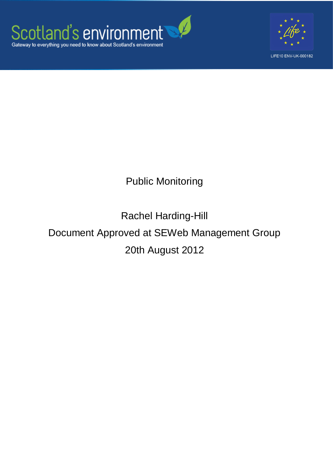



## Public Monitoring

# Rachel Harding-Hill Document Approved at SEWeb Management Group 20th August 2012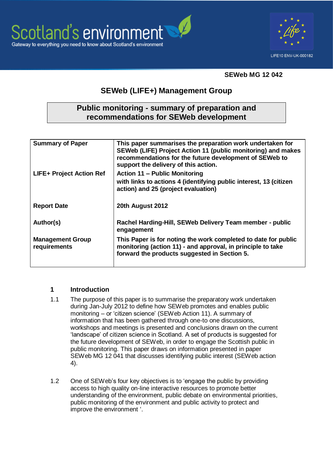



#### **SEWeb MG 12 042**

### **SEWeb (LIFE+) Management Group**

#### **Public monitoring - summary of preparation and recommendations for SEWeb development**

| <b>Summary of Paper</b>                 | This paper summarises the preparation work undertaken for<br>SEWeb (LIFE) Project Action 11 (public monitoring) and makes<br>recommendations for the future development of SEWeb to<br>support the delivery of this action. |
|-----------------------------------------|-----------------------------------------------------------------------------------------------------------------------------------------------------------------------------------------------------------------------------|
| <b>LIFE+ Project Action Ref</b>         | <b>Action 11 - Public Monitoring</b>                                                                                                                                                                                        |
|                                         | with links to actions 4 (identifying public interest, 13 (citizen<br>action) and 25 (project evaluation)                                                                                                                    |
| <b>Report Date</b>                      | 20th August 2012                                                                                                                                                                                                            |
| Author(s)                               | Rachel Harding-Hill, SEWeb Delivery Team member - public<br>engagement                                                                                                                                                      |
| <b>Management Group</b><br>requirements | This Paper is for noting the work completed to date for public<br>monitoring (action 11) - and approval, in principle to take<br>forward the products suggested in Section 5.                                               |

#### **1 Introduction**

- 1.1 The purpose of this paper is to summarise the preparatory work undertaken during Jan-July 2012 to define how SEWeb promotes and enables public monitoring – or "citizen science" (SEWeb Action 11). A summary of information that has been gathered through one-to one discussions, workshops and meetings is presented and conclusions drawn on the current "landscape" of citizen science in Scotland. A set of products is suggested for the future development of SEWeb, in order to engage the Scottish public in public monitoring. This paper draws on information presented in paper SEWeb MG 12 041 that discusses identifying public interest (SEWeb action 4).
- 1.2 One of SEWeb"s four key objectives is to "engage the public by providing access to high quality on-line interactive resources to promote better understanding of the environment, public debate on environmental priorities, public monitoring of the environment and public activity to protect and improve the environment '.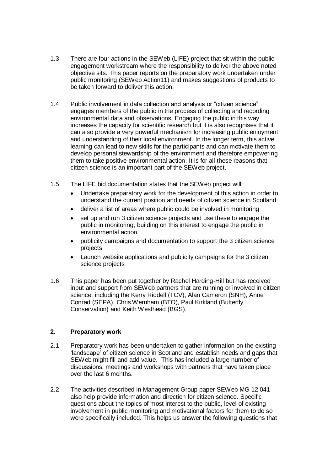- 1.3 There are four actions in the SEWeb (LIFE) project that sit within the public engagement workstream where the responsibility to deliver the above noted objective sits. This paper reports on the preparatory work undertaken under public monitoring (SEWeb Action11) and makes suggestions of products to be taken forward to deliver this action.
- 1.4 Public involvement in data collection and analysis or "citizen science" engages members of the public in the process of collecting and recording environmental data and observations. Engaging the public in this way increases the capacity for scientific research but it is also recognises that it can also provide a very powerful mechanism for increasing public enjoyment and understanding of their local environment. In the longer term, this active learning can lead to new skills for the participants and can motivate them to develop personal stewardship of the environment and therefore empowering them to take positive environmental action. It is for all these reasons that citizen science is an important part of the SEWeb project.
- 1.5 The LIFE bid documentation states that the SEWeb project will:
	- Undertake preparatory work for the development of this action in order to understand the current position and needs of citizen science in Scotland
	- deliver a list of areas where public could be involved in monitoring
	- set up and run 3 citizen science projects and use these to engage the public in monitoring, building on this interest to engage the public in environmental action.
	- publicity campaigns and documentation to support the 3 citizen science projects
	- Launch website applications and publicity campaigns for the 3 citizen science projects
- 1.6 This paper has been put together by Rachel Harding-Hill but has received input and support from SEWeb partners that are running or involved in citizen science, including the Kerry Riddell (TCV), Alan Cameron (SNH), Anne Conrad (SEPA), Chris Wernham (BTO), Paul Kirkland (Butterfly Conservation) and Keith Westhead (BGS).

#### **2. Preparatory work**

- 2.1 Preparatory work has been undertaken to gather information on the existing "landscape" of citizen science in Scotland and establish needs and gaps that SEWeb might fill and add value. This has included a large number of discussions, meetings and workshops with partners that have taken place over the last 6 months.
- 2.2 The activities described in Management Group paper SEWeb MG 12 041 also help provide information and direction for citizen science. Specific questions about the topics of most interest to the public, level of existing involvement in public monitoring and motivational factors for them to do so were specifically included. This helps us answer the following questions that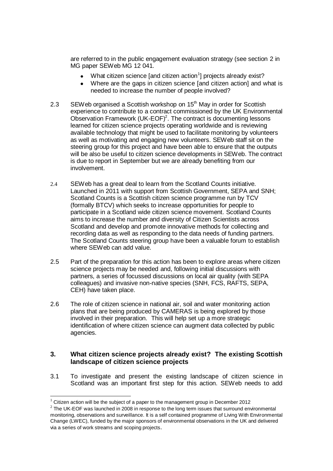are referred to in the public engagement evaluation strategy (see section 2 in MG paper SEWeb MG 12 041.

- What citizen science [and citizen action<sup>1</sup>] projects already exist?
- Where are the gaps in citizen science [and citizen action] and what is needed to increase the number of people involved?
- 2.3 SEWeb organised a Scottish workshop on  $15<sup>th</sup>$  May in order for Scottish experience to contribute to a contract commissioned by the UK Environmental Observation Framework  $(UK\text{-}EOF)^2$ . The contract is documenting lessons learned for citizen science projects operating worldwide and is reviewing available technology that might be used to facilitate monitoring by volunteers as well as motivating and engaging new volunteers. SEWeb staff sit on the steering group for this project and have been able to ensure that the outputs will be also be useful to citizen science developments in SEWeb. The contract is due to report in September but we are already benefiting from our involvement.
- 2.4 SEWeb has a great deal to learn from the Scotland Counts initiative. Launched in 2011 with support from Scottish Government, SEPA and SNH; Scotland Counts is a Scottish citizen science programme run by TCV (formally BTCV) which seeks to increase opportunities for people to participate in a Scotland wide citizen science movement. Scotland Counts aims to increase the number and diversity of Citizen Scientists across Scotland and develop and promote innovative methods for collecting and recording data as well as responding to the data needs of funding partners. The Scotland Counts steering group have been a valuable forum to establish where SEWeb can add value.
- 2.5 Part of the preparation for this action has been to explore areas where citizen science projects may be needed and, following initial discussions with partners, a series of focussed discussions on local air quality (with SEPA colleagues) and invasive non-native species (SNH, FCS, RAFTS, SEPA, CEH) have taken place.
- 2.6 The role of citizen science in national air, soil and water monitoring action plans that are being produced by CAMERAS is being explored by those involved in their preparation. This will help set up a more strategic identification of where citizen science can augment data collected by public agencies.

#### **3. What citizen science projects already exist? The existing Scottish landscape of citizen science projects**

3.1 To investigate and present the existing landscape of citizen science in Scotland was an important first step for this action. SEWeb needs to add

-

 $1$  Citizen action will be the subject of a paper to the management group in December 2012

 $2$  The UK-EOF was launched in 2008 in response to the long term issues that surround environmental monitoring, observations and surveillance. It is a self contained programme of Living With Environmental Change (LWEC), funded by the major sponsors of environmental observations in the UK and delivered via a series of work streams and scoping projects.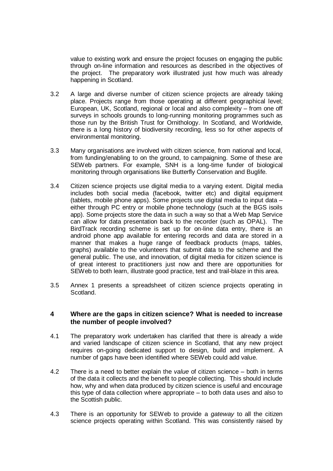value to existing work and ensure the project focuses on engaging the public through on-line information and resources as described in the objectives of the project. The preparatory work illustrated just how much was already happening in Scotland.

- 3.2 A large and diverse number of citizen science projects are already taking place. Projects range from those operating at different geographical level; European, UK, Scotland, regional or local and also complexity – from one off surveys in schools grounds to long-running monitoring programmes such as those run by the British Trust for Ornithology. In Scotland, and Worldwide, there is a long history of biodiversity recording, less so for other aspects of environmental monitoring.
- 3.3 Many organisations are involved with citizen science, from national and local, from funding/enabling to on the ground, to campaigning. Some of these are SEWeb partners. For example, SNH is a long-time funder of biological monitoring through organisations like Butterfly Conservation and Buglife.
- 3.4 Citizen science projects use digital media to a varying extent. Digital media includes both social media (facebook, twitter etc) and digital equipment (tablets, mobile phone apps). Some projects use digital media to input data – either through PC entry or mobile phone technology (such at the BGS isoils app). Some projects store the data in such a way so that a Web Map Service can allow for data presentation back to the recorder (such as OPAL). The BirdTrack recording scheme is set up for on-line data entry, there is an android phone app available for entering records and data are stored in a manner that makes a huge range of feedback products (maps, tables, graphs) available to the volunteers that submit data to the scheme and the general public. The use, and innovation, of digital media for citizen science is of great interest to practitioners just now and there are opportunities for SEWeb to both learn, illustrate good practice, test and trail-blaze in this area.
- 3.5 Annex 1 presents a spreadsheet of citizen science projects operating in Scotland.

#### **4 Where are the gaps in citizen science? What is needed to increase the number of people involved?**

- 4.1 The preparatory work undertaken has clarified that there is already a wide and varied landscape of citizen science in Scotland, that any new project requires on-going dedicated support to design, build and implement. A number of gaps have been identified where SEWeb could add value.
- 4.2 There is a need to better explain the *value* of citizen science both in terms of the data it collects and the benefit to people collecting. This should include how, why and when data produced by citizen science is useful and encourage this type of data collection where appropriate – to both data uses and also to the Scottish public.
- 4.3 There is an opportunity for SEWeb to provide a *gateway* to all the citizen science projects operating within Scotland. This was consistently raised by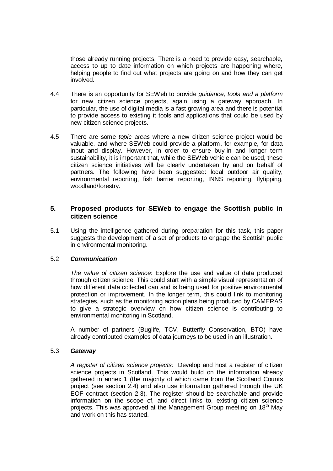those already running projects. There is a need to provide easy, searchable, access to up to date information on which projects are happening where, helping people to find out what projects are going on and how they can get involved.

- 4.4 There is an opportunity for SEWeb to provide *guidance, tools and a platform* for new citizen science projects, again using a gateway approach. In particular, the use of digital media is a fast growing area and there is potential to provide access to existing it tools and applications that could be used by new citizen science projects.
- 4.5 There are some *topic areas* where a new citizen science project would be valuable, and where SEWeb could provide a platform, for example, for data input and display. However, in order to ensure buy-in and longer term sustainability, it is important that, while the SEWeb vehicle can be used, these citizen science initiatives will be clearly undertaken by and on behalf of partners. The following have been suggested: local outdoor air quality, environmental reporting, fish barrier reporting, INNS reporting, flytipping, woodland/forestry.

#### **5. Proposed products for SEWeb to engage the Scottish public in citizen science**

5.1 Using the intelligence gathered during preparation for this task, this paper suggests the development of a set of products to engage the Scottish public in environmental monitoring.

#### 5.2 *Communication*

*The value of citizen science:* Explore the use and value of data produced through citizen science. This could start with a simple visual representation of how different data collected can and is being used for positive environmental protection or improvement. In the longer term, this could link to monitoring strategies, such as the monitoring action plans being produced by CAMERAS to give a strategic overview on how citizen science is contributing to environmental monitoring in Scotland.

A number of partners (Buglife, TCV, Butterfly Conservation, BTO) have already contributed examples of data journeys to be used in an illustration.

#### 5.3 *Gateway*

*A register of citizen science projects:* Develop and host a register of citizen science projects in Scotland. This would build on the information already gathered in annex 1 (the majority of which came from the Scotland Counts project (see section 2.4) and also use information gathered through the UK EOF contract (section 2.3). The register should be searchable and provide information on the scope of, and direct links to, existing citizen science projects. This was approved at the Management Group meeting on 18<sup>th</sup> May and work on this has started.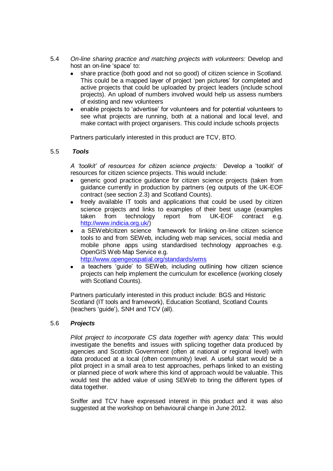- 5.4 *On-line sharing practice and matching projects with volunteers:* Develop and host an on-line 'space' to:
	- share practice (both good and not so good) of citizen science in Scotland. This could be a mapped layer of project "pen pictures" for completed and active projects that could be uploaded by project leaders (include school projects). An upload of numbers involved would help us assess numbers of existing and new volunteers
	- enable projects to "advertise" for volunteers and for potential volunteers to see what projects are running, both at a national and local level, and make contact with project organisers. This could include schools projects

Partners particularly interested in this product are TCV, BTO.

#### 5.5 *Tools*

*A 'toolkit' of resources for citizen science projects:* Develop a "toolkit" of resources for citizen science projects. This would include:

- generic good practice guidance for citizen science projects (taken from guidance currently in production by partners (eg outputs of the UK-EOF contract (see section 2.3) and Scotland Counts).
- freely available IT tools and applications that could be used by citizen science projects and links to examples of their best usage (examples taken from technology report from UK-EOF contract e.g. [http://www.indicia.org.uk/\)](http://www.indicia.org.uk/)
- a SEWeb/citizen science framework for linking on-line citizen science tools to and from SEWeb, including web map services, social media and mobile phone apps using standardised technology approaches e.g. OpenGIS Web Map Service e.g. <http://www.opengeospatial.org/standards/wms>
	- a teachers "guide" to SEWeb, including outlining how citizen science
- projects can help implement the curriculum for excellence (working closely with Scotland Counts).

Partners particularly interested in this product include: BGS and Historic Scotland (IT tools and framework), Education Scotland, Scotland Counts (teachers "guide"), SNH and TCV (all).

#### 5.6 *Projects*

*Pilot project to incorporate CS data together with agency data:* This would investigate the benefits and issues with splicing together data produced by agencies and Scottish Government (often at national or regional level) with data produced at a local (often community) level. A useful start would be a pilot project in a small area to test approaches, perhaps linked to an existing or planned piece of work where this kind of approach would be valuable. This would test the added value of using SEWeb to bring the different types of data together.

Sniffer and TCV have expressed interest in this product and it was also suggested at the workshop on behavioural change in June 2012.